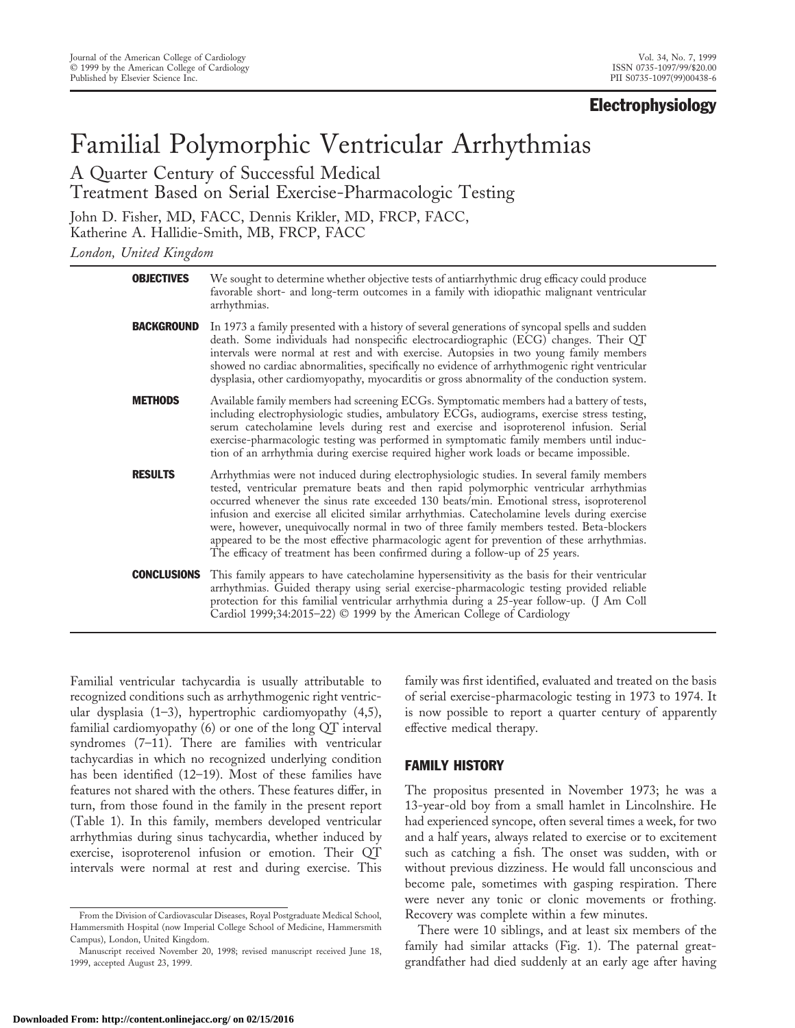# Electrophysiology

# Familial Polymorphic Ventricular Arrhythmias

A Quarter Century of Successful Medical

Treatment Based on Serial Exercise-Pharmacologic Testing

John D. Fisher, MD, FACC, Dennis Krikler, MD, FRCP, FACC,

Katherine A. Hallidie-Smith, MB, FRCP, FACC

*London, United Kingdom*

| <b>OBJECTIVES</b>  | We sought to determine whether objective tests of antiarrhythmic drug efficacy could produce<br>favorable short- and long-term outcomes in a family with idiopathic malignant ventricular<br>arrhythmias.                                                                                                                                                                                                                                                                                                                                                                                                                                                 |
|--------------------|-----------------------------------------------------------------------------------------------------------------------------------------------------------------------------------------------------------------------------------------------------------------------------------------------------------------------------------------------------------------------------------------------------------------------------------------------------------------------------------------------------------------------------------------------------------------------------------------------------------------------------------------------------------|
| <b>BACKGROUND</b>  | In 1973 a family presented with a history of several generations of syncopal spells and sudden<br>death. Some individuals had nonspecific electrocardiographic (ECG) changes. Their QT<br>intervals were normal at rest and with exercise. Autopsies in two young family members<br>showed no cardiac abnormalities, specifically no evidence of arrhythmogenic right ventricular<br>dysplasia, other cardiomyopathy, myocarditis or gross abnormality of the conduction system.                                                                                                                                                                          |
| <b>METHODS</b>     | Available family members had screening ECGs. Symptomatic members had a battery of tests,<br>including electrophysiologic studies, ambulatory ECGs, audiograms, exercise stress testing,<br>serum catecholamine levels during rest and exercise and isoproterenol infusion. Serial<br>exercise-pharmacologic testing was performed in symptomatic family members until induc-<br>tion of an arrhythmia during exercise required higher work loads or became impossible.                                                                                                                                                                                    |
| <b>RESULTS</b>     | Arrhythmias were not induced during electrophysiologic studies. In several family members<br>tested, ventricular premature beats and then rapid polymorphic ventricular arrhythmias<br>occurred whenever the sinus rate exceeded 130 beats/min. Emotional stress, isoproterenol<br>infusion and exercise all elicited similar arrhythmias. Catecholamine levels during exercise<br>were, however, unequivocally normal in two of three family members tested. Beta-blockers<br>appeared to be the most effective pharmacologic agent for prevention of these arrhythmias.<br>The efficacy of treatment has been confirmed during a follow-up of 25 years. |
| <b>CONCLUSIONS</b> | This family appears to have cate cholamine hypersensitivity as the basis for their ventricular<br>arrhythmias. Guided therapy using serial exercise-pharmacologic testing provided reliable<br>protection for this familial ventricular arrhythmia during a 25-year follow-up. (J Am Coll<br>Cardiol 1999;34:2015-22) © 1999 by the American College of Cardiology                                                                                                                                                                                                                                                                                        |

Familial ventricular tachycardia is usually attributable to recognized conditions such as arrhythmogenic right ventricular dysplasia (1–3), hypertrophic cardiomyopathy (4,5), familial cardiomyopathy (6) or one of the long QT interval syndromes (7–11). There are families with ventricular tachycardias in which no recognized underlying condition has been identified (12–19). Most of these families have features not shared with the others. These features differ, in turn, from those found in the family in the present report (Table 1). In this family, members developed ventricular arrhythmias during sinus tachycardia, whether induced by exercise, isoproterenol infusion or emotion. Their QT intervals were normal at rest and during exercise. This

family was first identified, evaluated and treated on the basis of serial exercise-pharmacologic testing in 1973 to 1974. It is now possible to report a quarter century of apparently effective medical therapy.

### FAMILY HISTORY

The propositus presented in November 1973; he was a 13-year-old boy from a small hamlet in Lincolnshire. He had experienced syncope, often several times a week, for two and a half years, always related to exercise or to excitement such as catching a fish. The onset was sudden, with or without previous dizziness. He would fall unconscious and become pale, sometimes with gasping respiration. There were never any tonic or clonic movements or frothing. Recovery was complete within a few minutes.

There were 10 siblings, and at least six members of the family had similar attacks (Fig. 1). The paternal greatgrandfather had died suddenly at an early age after having

From the Division of Cardiovascular Diseases, Royal Postgraduate Medical School, Hammersmith Hospital (now Imperial College School of Medicine, Hammersmith Campus), London, United Kingdom.

Manuscript received November 20, 1998; revised manuscript received June 18, 1999, accepted August 23, 1999.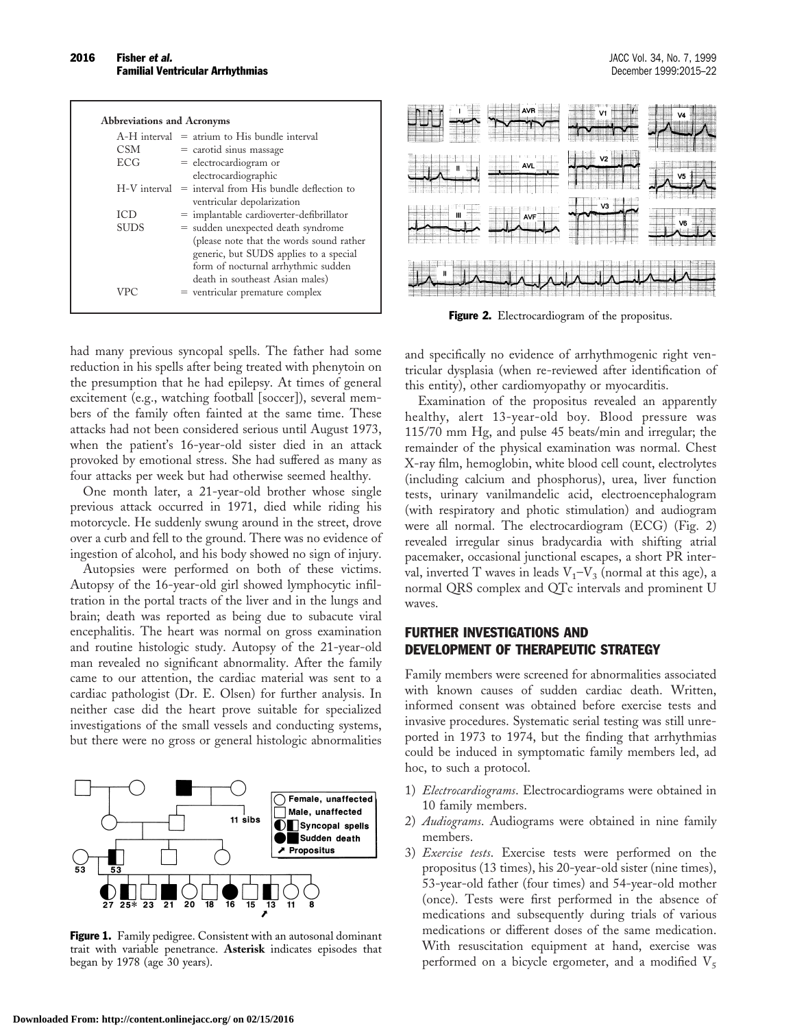| <b>Abbreviations and Acronyms</b> |                                                  |
|-----------------------------------|--------------------------------------------------|
|                                   | $A-H$ interval $=$ atrium to His bundle interval |
| <b>CSM</b>                        | $=$ carotid sinus massage                        |
| <b>ECG</b>                        | $=$ electrocardiogram or                         |
|                                   | electrocardiographic                             |
| H-V interval                      | $=$ interval from His bundle deflection to       |
|                                   | ventricular depolarization                       |
| ICD                               | $=$ implantable cardioverter-defibrillator       |
| SUDS                              | = sudden unexpected death syndrome               |
|                                   | (please note that the words sound rather         |
|                                   | generic, but SUDS applies to a special           |
|                                   | form of nocturnal arrhythmic sudden              |
|                                   | death in southeast Asian males)                  |
| VPC                               | $=$ ventricular premature complex                |
|                                   |                                                  |



Figure 2. Electrocardiogram of the propositus.

had many previous syncopal spells. The father had some reduction in his spells after being treated with phenytoin on the presumption that he had epilepsy. At times of general excitement (e.g., watching football [soccer]), several members of the family often fainted at the same time. These attacks had not been considered serious until August 1973, when the patient's 16-year-old sister died in an attack provoked by emotional stress. She had suffered as many as four attacks per week but had otherwise seemed healthy.

One month later, a 21-year-old brother whose single previous attack occurred in 1971, died while riding his motorcycle. He suddenly swung around in the street, drove over a curb and fell to the ground. There was no evidence of ingestion of alcohol, and his body showed no sign of injury.

Autopsies were performed on both of these victims. Autopsy of the 16-year-old girl showed lymphocytic infiltration in the portal tracts of the liver and in the lungs and brain; death was reported as being due to subacute viral encephalitis. The heart was normal on gross examination and routine histologic study. Autopsy of the 21-year-old man revealed no significant abnormality. After the family came to our attention, the cardiac material was sent to a cardiac pathologist (Dr. E. Olsen) for further analysis. In neither case did the heart prove suitable for specialized investigations of the small vessels and conducting systems, but there were no gross or general histologic abnormalities



Figure 1. Family pedigree. Consistent with an autosonal dominant trait with variable penetrance. **Asterisk** indicates episodes that began by 1978 (age 30 years).

and specifically no evidence of arrhythmogenic right ventricular dysplasia (when re-reviewed after identification of this entity), other cardiomyopathy or myocarditis.

Examination of the propositus revealed an apparently healthy, alert 13-year-old boy. Blood pressure was 115/70 mm Hg, and pulse 45 beats/min and irregular; the remainder of the physical examination was normal. Chest X-ray film, hemoglobin, white blood cell count, electrolytes (including calcium and phosphorus), urea, liver function tests, urinary vanilmandelic acid, electroencephalogram (with respiratory and photic stimulation) and audiogram were all normal. The electrocardiogram (ECG) (Fig. 2) revealed irregular sinus bradycardia with shifting atrial pacemaker, occasional junctional escapes, a short PR interval, inverted T waves in leads  $V_1-V_3$  (normal at this age), a normal QRS complex and QTc intervals and prominent U waves.

## FURTHER INVESTIGATIONS AND DEVELOPMENT OF THERAPEUTIC STRATEGY

Family members were screened for abnormalities associated with known causes of sudden cardiac death. Written, informed consent was obtained before exercise tests and invasive procedures. Systematic serial testing was still unreported in 1973 to 1974, but the finding that arrhythmias could be induced in symptomatic family members led, ad hoc, to such a protocol.

- 1) *Electrocardiograms*. Electrocardiograms were obtained in 10 family members.
- 2) *Audiograms*. Audiograms were obtained in nine family members.
- 3) *Exercise tests*. Exercise tests were performed on the propositus (13 times), his 20-year-old sister (nine times), 53-year-old father (four times) and 54-year-old mother (once). Tests were first performed in the absence of medications and subsequently during trials of various medications or different doses of the same medication. With resuscitation equipment at hand, exercise was performed on a bicycle ergometer, and a modified  $V_5$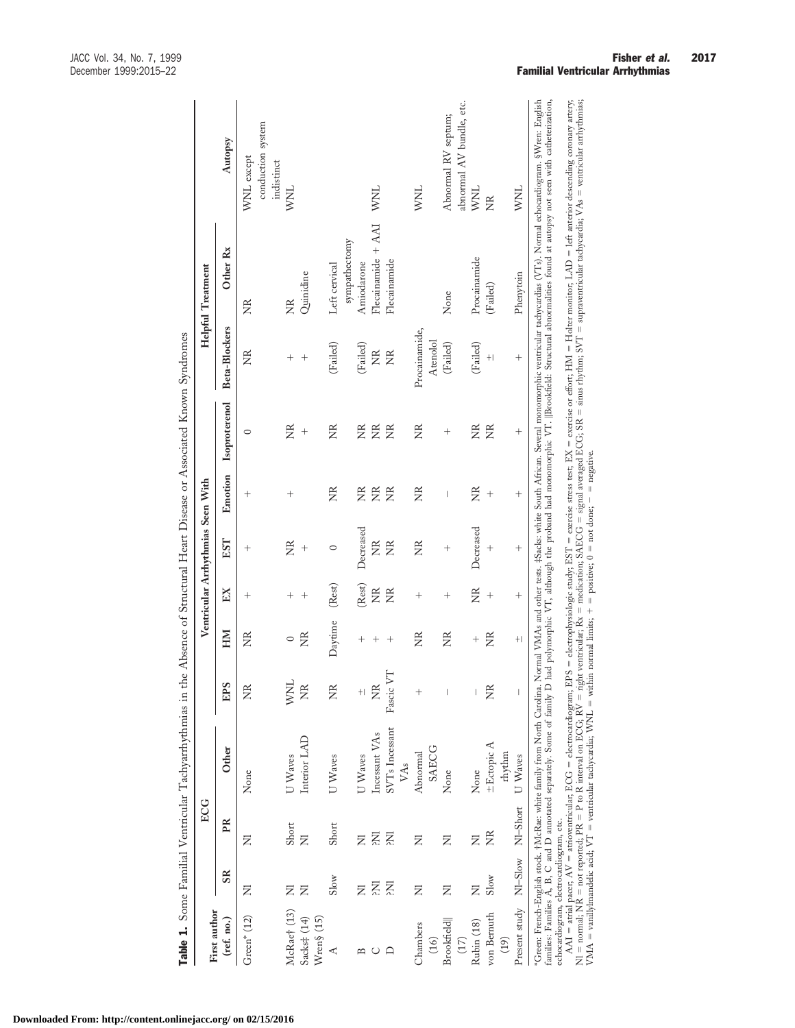|                                         |           |          | Table 1. Some Familial Ventricular Tachyarrhythmias in the                                                                                                                                                     | $\circ$           |                   |                    |                                   |                          | Absence of Structural Heart Disease or Associated Known Syndromes |                        |                             |                                                                                                                                                                                                                                                                                                                                                                                                                                                           |
|-----------------------------------------|-----------|----------|----------------------------------------------------------------------------------------------------------------------------------------------------------------------------------------------------------------|-------------------|-------------------|--------------------|-----------------------------------|--------------------------|-------------------------------------------------------------------|------------------------|-----------------------------|-----------------------------------------------------------------------------------------------------------------------------------------------------------------------------------------------------------------------------------------------------------------------------------------------------------------------------------------------------------------------------------------------------------------------------------------------------------|
| First author                            |           | ECG      |                                                                                                                                                                                                                |                   |                   |                    | Ventricular Arrhythmias Seen With |                          |                                                                   |                        | Helpful Treatment           |                                                                                                                                                                                                                                                                                                                                                                                                                                                           |
| (ref. no.)                              | SR        | PR       | Other                                                                                                                                                                                                          | EPS               | MH                | EX                 | EST                               | Emotion                  | <b>Isoproterenol</b>                                              | Beta-Blockers          | Other Rx                    | Autopsy                                                                                                                                                                                                                                                                                                                                                                                                                                                   |
| $Green* (12)$                           | Z         | Ξ        | None                                                                                                                                                                                                           | $\widetilde{R}$   | Ř                 | $^{+}$             | $^{+}$                            | $^{+}$                   | $\circ$                                                           | $\frac{\alpha}{\beta}$ | Ř                           | WNL except                                                                                                                                                                                                                                                                                                                                                                                                                                                |
|                                         |           |          |                                                                                                                                                                                                                |                   |                   |                    |                                   |                          |                                                                   |                        |                             | conduction system<br>indistinct                                                                                                                                                                                                                                                                                                                                                                                                                           |
| McRaet (13)                             | Z         | Short    | U Waves                                                                                                                                                                                                        | <b>WNL</b>        | $\circ$           | $\hspace{0.1mm} +$ | $\widetilde{R}$                   | $^{+}$                   | É                                                                 | $\overline{+}$         | $\frac{\alpha}{\beta}$      | <b>WNL</b>                                                                                                                                                                                                                                                                                                                                                                                                                                                |
| Wren§ (15)<br>Sacks $\ddagger$ (14)     | Z         | Z        | Interior LAD                                                                                                                                                                                                   | Ž                 | $\widetilde{\Xi}$ |                    | $^{+}$                            |                          | $^{+}$                                                            |                        | Quinidine                   |                                                                                                                                                                                                                                                                                                                                                                                                                                                           |
| 4                                       | Slow      | Short    | U Waves                                                                                                                                                                                                        | $\widetilde{\Xi}$ | Daytime           | (Rest)             | $\circ$                           | É                        | Ž                                                                 | (Failed)               | Left cervical               |                                                                                                                                                                                                                                                                                                                                                                                                                                                           |
| $\mathbf{\Omega}$                       | Ż         | Z        | U Waves                                                                                                                                                                                                        | $+1$              | $^+$              | (Rest)             | Decreased                         | $\widetilde{Z}$          | Ĕ                                                                 | (Failed)               | sympathectomy<br>Amiodarone |                                                                                                                                                                                                                                                                                                                                                                                                                                                           |
| $\cup$                                  | Ķ,        | Ķ        | Incessant VAs                                                                                                                                                                                                  | $\widetilde{\Xi}$ |                   | $\widetilde{R}$    | $\widetilde{\Xi}$                 | $\widetilde{\mathbf{Z}}$ | $\frac{\mathbf{R}}{\mathbf{Z}}$                                   | $\widetilde{R}$        | Flecainamide + AAI          | <b>WNL</b>                                                                                                                                                                                                                                                                                                                                                                                                                                                |
| $\Box$                                  | Š         | ž.       | SVT <sub>s</sub> Incessant                                                                                                                                                                                     | Fascic VT         |                   | É                  | É                                 | $\widetilde{R}$          | $\widetilde{R}$                                                   | É                      | Flecainamide                |                                                                                                                                                                                                                                                                                                                                                                                                                                                           |
|                                         |           |          | VAs                                                                                                                                                                                                            |                   |                   |                    |                                   |                          |                                                                   |                        |                             |                                                                                                                                                                                                                                                                                                                                                                                                                                                           |
| Chambers                                | Ξ         | Ξ        | Abnormal                                                                                                                                                                                                       | $^+$              | ã                 | $^{+}$             | $\widetilde{z}$                   | Ř                        | Ř                                                                 | Procainamide,          |                             | <b>WNL</b>                                                                                                                                                                                                                                                                                                                                                                                                                                                |
| (16)                                    |           |          | <b>SAECG</b>                                                                                                                                                                                                   |                   |                   |                    |                                   |                          |                                                                   | Atenolol               |                             |                                                                                                                                                                                                                                                                                                                                                                                                                                                           |
| Brookfield<br>(17)                      | Z         | Ζ        | None                                                                                                                                                                                                           |                   | Ř                 | $^{+}$             | $^{+}$                            | I                        | $^{+}$                                                            | (Failed)               | None                        | abnormal AV bundle, etc.<br>Abnormal RV septum;                                                                                                                                                                                                                                                                                                                                                                                                           |
| Rubin (18)                              | Z         | Σ        | None                                                                                                                                                                                                           |                   | $^{+}$            | É                  | Decreased                         | É                        | É                                                                 | (Failed)               | Procainamide                | <b>WNL</b>                                                                                                                                                                                                                                                                                                                                                                                                                                                |
| von Bernuth                             | Slow      | Ř        | $\pm$ Ectopic A                                                                                                                                                                                                | $\widetilde{Z}$   | Ã                 | $^{+}$             | $^{+}$                            | $^{+}$                   | Ř                                                                 | $+$                    | (Failed)                    | $\widetilde{\Xi}$                                                                                                                                                                                                                                                                                                                                                                                                                                         |
| (19)                                    |           |          | rhythm                                                                                                                                                                                                         |                   |                   |                    |                                   |                          |                                                                   |                        |                             |                                                                                                                                                                                                                                                                                                                                                                                                                                                           |
| Present study                           | $NI-Slow$ | Nl-Short | U Waves                                                                                                                                                                                                        |                   | $+1$              | $^{+}$             | $^{+}$                            | $^{+}$                   | $^{+}$                                                            | $^{+}$                 | Phenytoin                   | <b>WNL</b>                                                                                                                                                                                                                                                                                                                                                                                                                                                |
|                                         |           |          | families: Families A, B, C and D annotated separately. Some of family D 1                                                                                                                                      |                   |                   |                    |                                   |                          |                                                                   |                        |                             | "Green: French-English stock. †McRae: white family from North Carolina. Normal VMAs and other tests. ‡Sacks: white South African. Several monomorphic venticular tachycardias (VTs). Normal echocardiogram. §Wren: English<br>had polymorphic VT, although the proband had monomorphic VT.  Brookfield: Structural abnormalities found at autopsy not seen with catheterization,                                                                          |
| echocardiogram, electrocardiogram, etc. |           |          | VMA = vanillylmandelic acid; VT = ventricular tachycardia; WNL = within normal limits; + = positive; 0 = not done; - = negative.<br>$AAI =$ atrial pacer; $AY =$ atrioventricular; ECG = electrocardiogram; EF |                   |                   |                    |                                   |                          |                                                                   |                        |                             | $25 = \text{electrophysiology } \text{endry}$ ; $EST = \text{exercises } \text{ttest}$ ; $EX = \text{exercises } \text{or}$ exerise or effort; $HM = Holter$ monitor; $LAD = \text{left}$ anterior descending coronary artery;<br>M = normal; NR = not reported; PR = P to R interval on ECG; RV = right ventricular; Rx = medication; SAECG = signal averaged ECG; SR = sinus rhythm; SVT = supraventricular tachycardia; VAs = ventricular arthythmias; |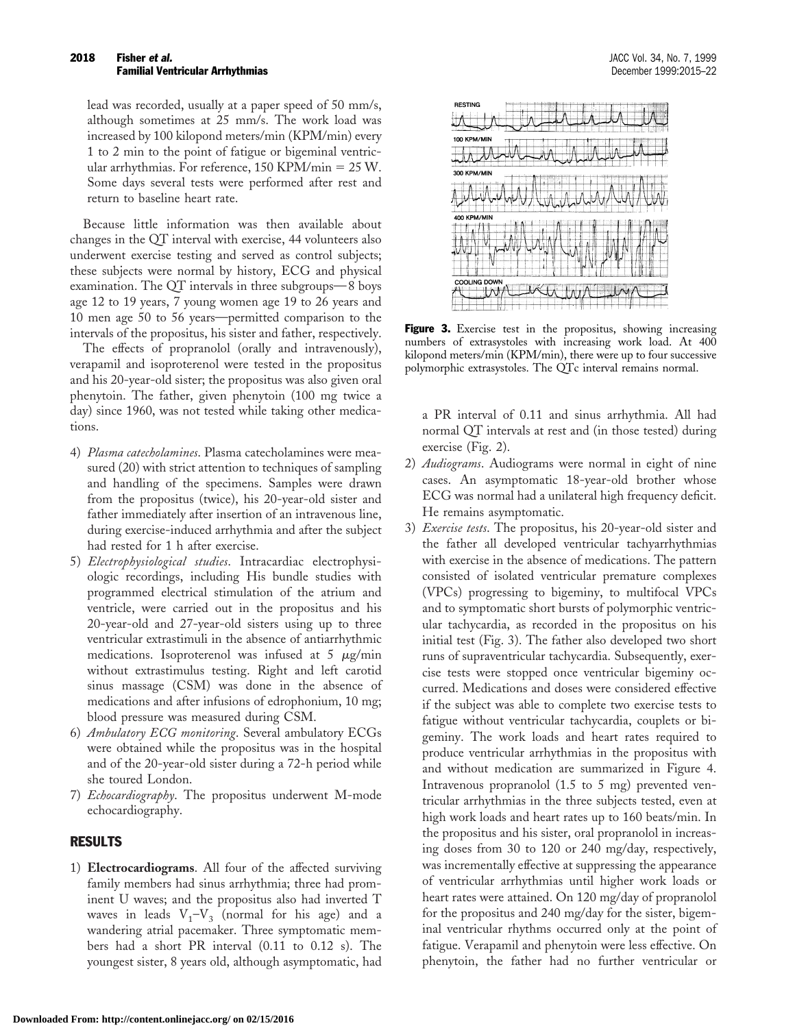lead was recorded, usually at a paper speed of 50 mm/s, although sometimes at 25 mm/s. The work load was increased by 100 kilopond meters/min (KPM/min) every 1 to 2 min to the point of fatigue or bigeminal ventricular arrhythmias. For reference,  $150$  KPM/min =  $25$  W. Some days several tests were performed after rest and return to baseline heart rate.

Because little information was then available about changes in the QT interval with exercise, 44 volunteers also underwent exercise testing and served as control subjects; these subjects were normal by history, ECG and physical examination. The QT intervals in three subgroups—8 boys age 12 to 19 years, 7 young women age 19 to 26 years and 10 men age 50 to 56 years—permitted comparison to the intervals of the propositus, his sister and father, respectively.

The effects of propranolol (orally and intravenously), verapamil and isoproterenol were tested in the propositus and his 20-year-old sister; the propositus was also given oral phenytoin. The father, given phenytoin (100 mg twice a day) since 1960, was not tested while taking other medications.

- 4) *Plasma catecholamines*. Plasma catecholamines were measured (20) with strict attention to techniques of sampling and handling of the specimens. Samples were drawn from the propositus (twice), his 20-year-old sister and father immediately after insertion of an intravenous line, during exercise-induced arrhythmia and after the subject had rested for 1 h after exercise.
- 5) *Electrophysiological studies*. Intracardiac electrophysiologic recordings, including His bundle studies with programmed electrical stimulation of the atrium and ventricle, were carried out in the propositus and his 20-year-old and 27-year-old sisters using up to three ventricular extrastimuli in the absence of antiarrhythmic medications. Isoproterenol was infused at  $5 \mu g/min$ without extrastimulus testing. Right and left carotid sinus massage (CSM) was done in the absence of medications and after infusions of edrophonium, 10 mg; blood pressure was measured during CSM.
- 6) *Ambulatory ECG monitoring*. Several ambulatory ECGs were obtained while the propositus was in the hospital and of the 20-year-old sister during a 72-h period while she toured London.
- 7) *Echocardiography*. The propositus underwent M-mode echocardiography.

### RESULTS

1) **Electrocardiograms**. All four of the affected surviving family members had sinus arrhythmia; three had prominent U waves; and the propositus also had inverted T waves in leads  $V_1 - V_3$  (normal for his age) and a wandering atrial pacemaker. Three symptomatic members had a short PR interval (0.11 to 0.12 s). The youngest sister, 8 years old, although asymptomatic, had



Figure 3. Exercise test in the propositus, showing increasing numbers of extrasystoles with increasing work load. At 400 kilopond meters/min (KPM/min), there were up to four successive polymorphic extrasystoles. The QTc interval remains normal.

a PR interval of 0.11 and sinus arrhythmia. All had normal QT intervals at rest and (in those tested) during exercise (Fig. 2).

- 2) *Audiograms*. Audiograms were normal in eight of nine cases. An asymptomatic 18-year-old brother whose ECG was normal had a unilateral high frequency deficit. He remains asymptomatic.
- 3) *Exercise tests*. The propositus, his 20-year-old sister and the father all developed ventricular tachyarrhythmias with exercise in the absence of medications. The pattern consisted of isolated ventricular premature complexes (VPCs) progressing to bigeminy, to multifocal VPCs and to symptomatic short bursts of polymorphic ventricular tachycardia, as recorded in the propositus on his initial test (Fig. 3). The father also developed two short runs of supraventricular tachycardia. Subsequently, exercise tests were stopped once ventricular bigeminy occurred. Medications and doses were considered effective if the subject was able to complete two exercise tests to fatigue without ventricular tachycardia, couplets or bigeminy. The work loads and heart rates required to produce ventricular arrhythmias in the propositus with and without medication are summarized in Figure 4. Intravenous propranolol (1.5 to 5 mg) prevented ventricular arrhythmias in the three subjects tested, even at high work loads and heart rates up to 160 beats/min. In the propositus and his sister, oral propranolol in increasing doses from 30 to 120 or 240 mg/day, respectively, was incrementally effective at suppressing the appearance of ventricular arrhythmias until higher work loads or heart rates were attained. On 120 mg/day of propranolol for the propositus and 240 mg/day for the sister, bigeminal ventricular rhythms occurred only at the point of fatigue. Verapamil and phenytoin were less effective. On phenytoin, the father had no further ventricular or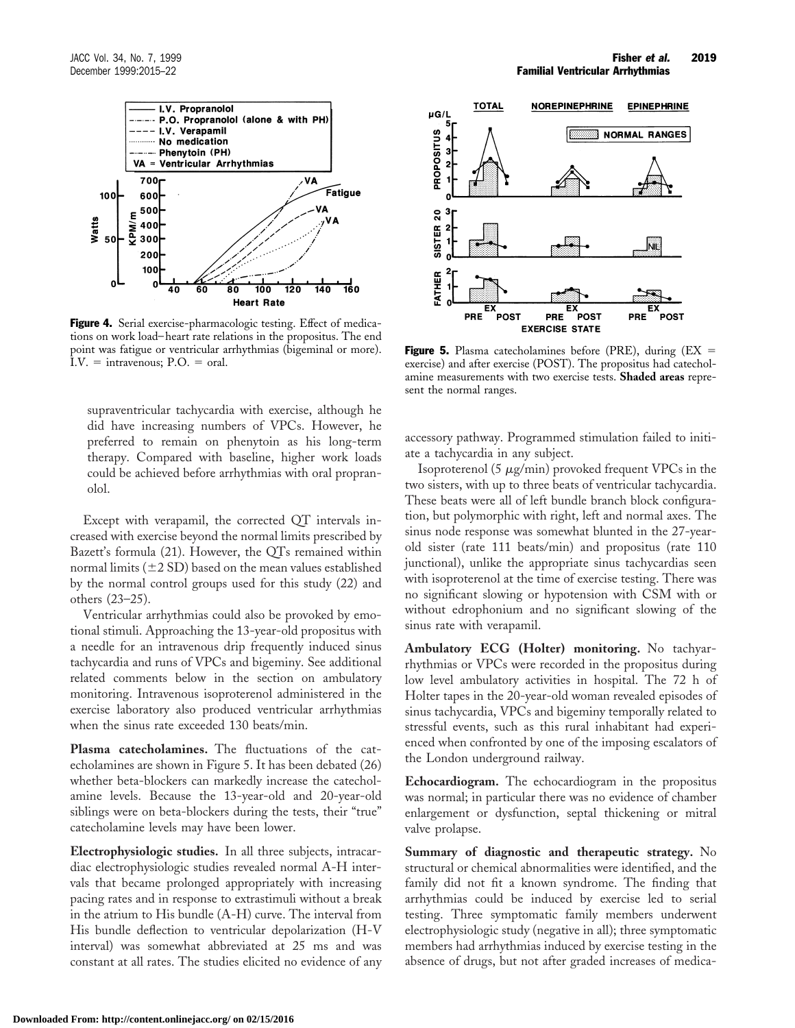

Figure 4. Serial exercise-pharmacologic testing. Effect of medications on work load–heart rate relations in the propositus. The end point was fatigue or ventricular arrhythmias (bigeminal or more).  $I.V. = \text{intravenous};$   $P.O. = \text{oral.}$ 

supraventricular tachycardia with exercise, although he did have increasing numbers of VPCs. However, he preferred to remain on phenytoin as his long-term therapy. Compared with baseline, higher work loads could be achieved before arrhythmias with oral propranolol.

Except with verapamil, the corrected QT intervals increased with exercise beyond the normal limits prescribed by Bazett's formula (21). However, the QTs remained within normal limits  $(\pm 2 SD)$  based on the mean values established by the normal control groups used for this study (22) and others (23–25).

Ventricular arrhythmias could also be provoked by emotional stimuli. Approaching the 13-year-old propositus with a needle for an intravenous drip frequently induced sinus tachycardia and runs of VPCs and bigeminy. See additional related comments below in the section on ambulatory monitoring. Intravenous isoproterenol administered in the exercise laboratory also produced ventricular arrhythmias when the sinus rate exceeded 130 beats/min.

Plasma catecholamines. The fluctuations of the catecholamines are shown in Figure 5. It has been debated (26) whether beta-blockers can markedly increase the catecholamine levels. Because the 13-year-old and 20-year-old siblings were on beta-blockers during the tests, their "true" catecholamine levels may have been lower.

**Electrophysiologic studies.** In all three subjects, intracardiac electrophysiologic studies revealed normal A-H intervals that became prolonged appropriately with increasing pacing rates and in response to extrastimuli without a break in the atrium to His bundle (A-H) curve. The interval from His bundle deflection to ventricular depolarization (H-V interval) was somewhat abbreviated at 25 ms and was constant at all rates. The studies elicited no evidence of any



**Figure 5.** Plasma catecholamines before (PRE), during  $(EX =$ exercise) and after exercise (POST). The propositus had catecholamine measurements with two exercise tests. **Shaded areas** represent the normal ranges.

accessory pathway. Programmed stimulation failed to initiate a tachycardia in any subject.

Isoproterenol (5  $\mu$ g/min) provoked frequent VPCs in the two sisters, with up to three beats of ventricular tachycardia. These beats were all of left bundle branch block configuration, but polymorphic with right, left and normal axes. The sinus node response was somewhat blunted in the 27-yearold sister (rate 111 beats/min) and propositus (rate 110 junctional), unlike the appropriate sinus tachycardias seen with isoproterenol at the time of exercise testing. There was no significant slowing or hypotension with CSM with or without edrophonium and no significant slowing of the sinus rate with verapamil.

**Ambulatory ECG (Holter) monitoring.** No tachyarrhythmias or VPCs were recorded in the propositus during low level ambulatory activities in hospital. The 72 h of Holter tapes in the 20-year-old woman revealed episodes of sinus tachycardia, VPCs and bigeminy temporally related to stressful events, such as this rural inhabitant had experienced when confronted by one of the imposing escalators of the London underground railway.

**Echocardiogram.** The echocardiogram in the propositus was normal; in particular there was no evidence of chamber enlargement or dysfunction, septal thickening or mitral valve prolapse.

**Summary of diagnostic and therapeutic strategy.** No structural or chemical abnormalities were identified, and the family did not fit a known syndrome. The finding that arrhythmias could be induced by exercise led to serial testing. Three symptomatic family members underwent electrophysiologic study (negative in all); three symptomatic members had arrhythmias induced by exercise testing in the absence of drugs, but not after graded increases of medica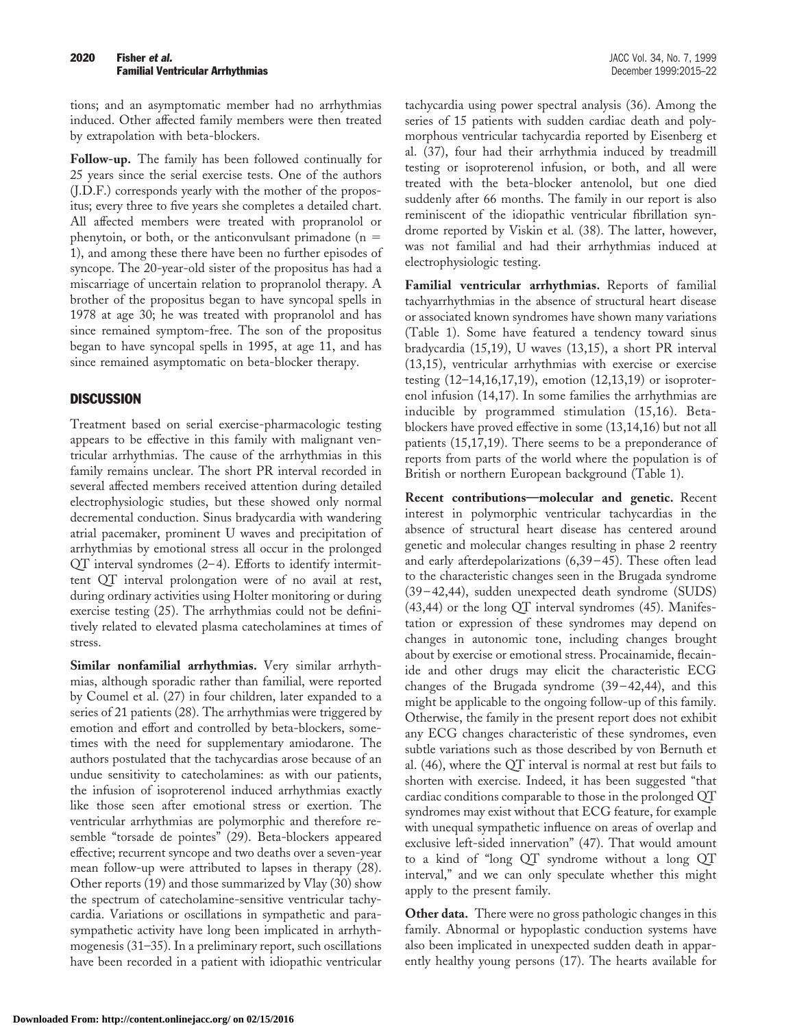tions; and an asymptomatic member had no arrhythmias induced. Other affected family members were then treated by extrapolation with beta-blockers.

**Follow-up.** The family has been followed continually for 25 years since the serial exercise tests. One of the authors (J.D.F.) corresponds yearly with the mother of the propositus; every three to five years she completes a detailed chart. All affected members were treated with propranolol or phenytoin, or both, or the anticonvulsant primadone ( $n =$ 1), and among these there have been no further episodes of syncope. The 20-year-old sister of the propositus has had a miscarriage of uncertain relation to propranolol therapy. A brother of the propositus began to have syncopal spells in 1978 at age 30; he was treated with propranolol and has since remained symptom-free. The son of the propositus began to have syncopal spells in 1995, at age 11, and has since remained asymptomatic on beta-blocker therapy.

## **DISCUSSION**

Treatment based on serial exercise-pharmacologic testing appears to be effective in this family with malignant ventricular arrhythmias. The cause of the arrhythmias in this family remains unclear. The short PR interval recorded in several affected members received attention during detailed electrophysiologic studies, but these showed only normal decremental conduction. Sinus bradycardia with wandering atrial pacemaker, prominent U waves and precipitation of arrhythmias by emotional stress all occur in the prolonged QT interval syndromes (2–4). Efforts to identify intermittent QT interval prolongation were of no avail at rest, during ordinary activities using Holter monitoring or during exercise testing (25). The arrhythmias could not be definitively related to elevated plasma catecholamines at times of stress.

**Similar nonfamilial arrhythmias.** Very similar arrhythmias, although sporadic rather than familial, were reported by Coumel et al. (27) in four children, later expanded to a series of 21 patients (28). The arrhythmias were triggered by emotion and effort and controlled by beta-blockers, sometimes with the need for supplementary amiodarone. The authors postulated that the tachycardias arose because of an undue sensitivity to catecholamines: as with our patients, the infusion of isoproterenol induced arrhythmias exactly like those seen after emotional stress or exertion. The ventricular arrhythmias are polymorphic and therefore resemble "torsade de pointes" (29). Beta-blockers appeared effective; recurrent syncope and two deaths over a seven-year mean follow-up were attributed to lapses in therapy (28). Other reports (19) and those summarized by Vlay (30) show the spectrum of catecholamine-sensitive ventricular tachycardia. Variations or oscillations in sympathetic and parasympathetic activity have long been implicated in arrhythmogenesis (31–35). In a preliminary report, such oscillations have been recorded in a patient with idiopathic ventricular

tachycardia using power spectral analysis (36). Among the series of 15 patients with sudden cardiac death and polymorphous ventricular tachycardia reported by Eisenberg et al. (37), four had their arrhythmia induced by treadmill testing or isoproterenol infusion, or both, and all were treated with the beta-blocker antenolol, but one died suddenly after 66 months. The family in our report is also reminiscent of the idiopathic ventricular fibrillation syndrome reported by Viskin et al. (38). The latter, however, was not familial and had their arrhythmias induced at electrophysiologic testing.

**Familial ventricular arrhythmias.** Reports of familial tachyarrhythmias in the absence of structural heart disease or associated known syndromes have shown many variations (Table 1). Some have featured a tendency toward sinus bradycardia (15,19), U waves (13,15), a short PR interval (13,15), ventricular arrhythmias with exercise or exercise testing (12–14,16,17,19), emotion (12,13,19) or isoproterenol infusion (14,17). In some families the arrhythmias are inducible by programmed stimulation (15,16). Betablockers have proved effective in some (13,14,16) but not all patients (15,17,19). There seems to be a preponderance of reports from parts of the world where the population is of British or northern European background (Table 1).

**Recent contributions—molecular and genetic.** Recent interest in polymorphic ventricular tachycardias in the absence of structural heart disease has centered around genetic and molecular changes resulting in phase 2 reentry and early afterdepolarizations (6,39–45). These often lead to the characteristic changes seen in the Brugada syndrome (39–42,44), sudden unexpected death syndrome (SUDS) (43,44) or the long QT interval syndromes (45). Manifestation or expression of these syndromes may depend on changes in autonomic tone, including changes brought about by exercise or emotional stress. Procainamide, flecainide and other drugs may elicit the characteristic ECG changes of the Brugada syndrome (39–42,44), and this might be applicable to the ongoing follow-up of this family. Otherwise, the family in the present report does not exhibit any ECG changes characteristic of these syndromes, even subtle variations such as those described by von Bernuth et al. (46), where the QT interval is normal at rest but fails to shorten with exercise. Indeed, it has been suggested "that cardiac conditions comparable to those in the prolonged QT syndromes may exist without that ECG feature, for example with unequal sympathetic influence on areas of overlap and exclusive left-sided innervation" (47). That would amount to a kind of "long QT syndrome without a long QT interval," and we can only speculate whether this might apply to the present family.

**Other data.** There were no gross pathologic changes in this family. Abnormal or hypoplastic conduction systems have also been implicated in unexpected sudden death in apparently healthy young persons (17). The hearts available for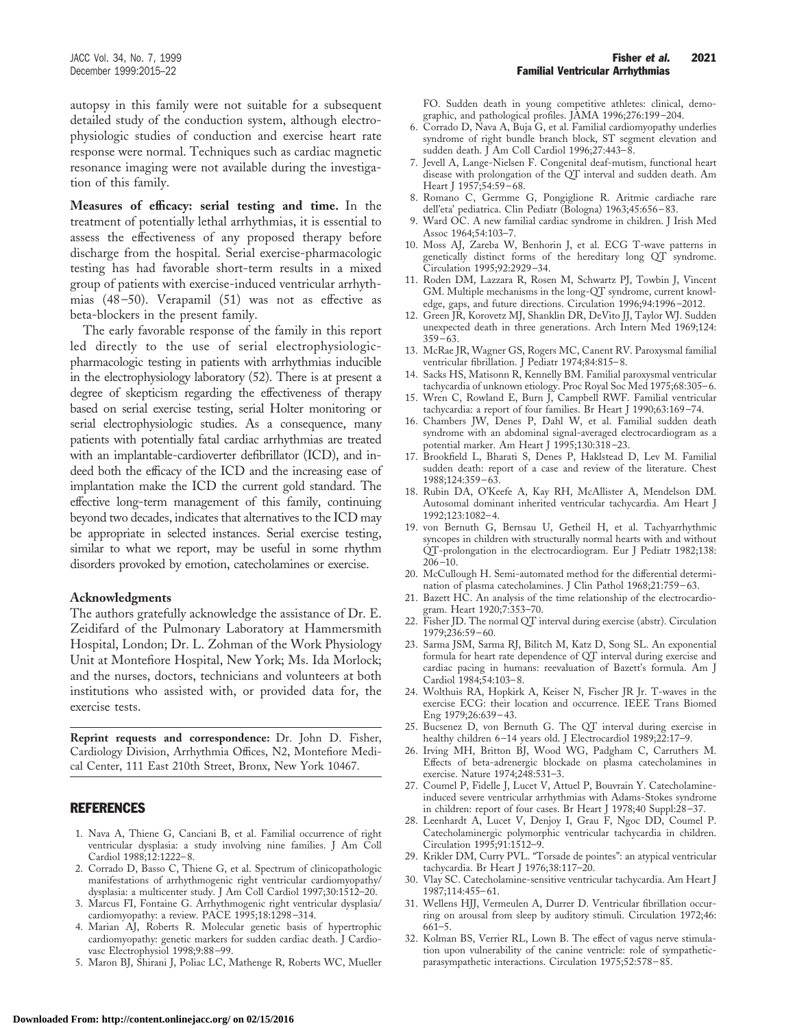autopsy in this family were not suitable for a subsequent detailed study of the conduction system, although electrophysiologic studies of conduction and exercise heart rate response were normal. Techniques such as cardiac magnetic resonance imaging were not available during the investigation of this family.

**Measures of efficacy: serial testing and time.** In the treatment of potentially lethal arrhythmias, it is essential to assess the effectiveness of any proposed therapy before discharge from the hospital. Serial exercise-pharmacologic testing has had favorable short-term results in a mixed group of patients with exercise-induced ventricular arrhythmias (48–50). Verapamil (51) was not as effective as beta-blockers in the present family.

The early favorable response of the family in this report led directly to the use of serial electrophysiologicpharmacologic testing in patients with arrhythmias inducible in the electrophysiology laboratory (52). There is at present a degree of skepticism regarding the effectiveness of therapy based on serial exercise testing, serial Holter monitoring or serial electrophysiologic studies. As a consequence, many patients with potentially fatal cardiac arrhythmias are treated with an implantable-cardioverter defibrillator (ICD), and indeed both the efficacy of the ICD and the increasing ease of implantation make the ICD the current gold standard. The effective long-term management of this family, continuing beyond two decades, indicates that alternatives to the ICD may be appropriate in selected instances. Serial exercise testing, similar to what we report, may be useful in some rhythm disorders provoked by emotion, catecholamines or exercise.

#### **Acknowledgments**

The authors gratefully acknowledge the assistance of Dr. E. Zeidifard of the Pulmonary Laboratory at Hammersmith Hospital, London; Dr. L. Zohman of the Work Physiology Unit at Montefiore Hospital, New York; Ms. Ida Morlock; and the nurses, doctors, technicians and volunteers at both institutions who assisted with, or provided data for, the exercise tests.

**Reprint requests and correspondence:** Dr. John D. Fisher, Cardiology Division, Arrhythmia Offices, N2, Montefiore Medical Center, 111 East 210th Street, Bronx, New York 10467.

#### REFERENCES

- 1. Nava A, Thiene G, Canciani B, et al. Familial occurrence of right ventricular dysplasia: a study involving nine families. J Am Coll Cardiol 1988;12:1222–8.
- 2. Corrado D, Basso C, Thiene G, et al. Spectrum of clinicopathologic manifestations of arrhythmogenic right ventricular cardiomyopathy/ dysplasia: a multicenter study. J Am Coll Cardiol 1997;30:1512–20.
- 3. Marcus FI, Fontaine G. Arrhythmogenic right ventricular dysplasia/ cardiomyopathy: a review. PACE 1995;18:1298–314.
- 4. Marian AJ, Roberts R. Molecular genetic basis of hypertrophic cardiomyopathy: genetic markers for sudden cardiac death. J Cardiovasc Electrophysiol 1998;9:88–99.
- 5. Maron BJ, Shirani J, Poliac LC, Mathenge R, Roberts WC, Mueller

FO. Sudden death in young competitive athletes: clinical, demographic, and pathological profiles. JAMA 1996;276:199–204.

- 6. Corrado D, Nava A, Buja G, et al. Familial cardiomyopathy underlies syndrome of right bundle branch block, ST segment elevation and sudden death. J Am Coll Cardiol 1996;27:443–8.
- 7. Jevell A, Lange-Nielsen F. Congenital deaf-mutism, functional heart disease with prolongation of the QT interval and sudden death. Am Heart J 1957;54:59–68.
- 8. Romano C, Germme G, Pongiglione R. Aritmie cardiache rare dell'eta' pediatrica. Clin Pediatr (Bologna) 1963;45:656–83.
- 9. Ward OC. A new familial cardiac syndrome in children. J Irish Med Assoc 1964;54:103–7.
- 10. Moss AJ, Zareba W, Benhorin J, et al. ECG T-wave patterns in genetically distinct forms of the hereditary long QT syndrome. Circulation 1995;92:2929–34.
- 11. Roden DM, Lazzara R, Rosen M, Schwartz PJ, Towbin J, Vincent GM. Multiple mechanisms in the long-QT syndrome, current knowledge, gaps, and future directions. Circulation 1996;94:1996–2012.
- 12. Green JR, Korovetz MJ, Shanklin DR, DeVito JJ, Taylor WJ. Sudden unexpected death in three generations. Arch Intern Med 1969;124: 359–63.
- 13. McRae JR, Wagner GS, Rogers MC, Canent RV. Paroxysmal familial ventricular fibrillation. J Pediatr 1974;84:815–8.
- 14. Sacks HS, Matisonn R, Kennelly BM. Familial paroxysmal ventricular tachycardia of unknown etiology. Proc Royal Soc Med 1975;68:305–6.
- 15. Wren C, Rowland E, Burn J, Campbell RWF. Familial ventricular tachycardia: a report of four families. Br Heart J 1990;63:169–74.
- 16. Chambers JW, Denes P, Dahl W, et al. Familial sudden death syndrome with an abdominal signal-averaged electrocardiogram as a potential marker. Am Heart J 1995;130:318–23.
- 17. Brookfield L, Bharati S, Denes P, Haklstead D, Lev M. Familial sudden death: report of a case and review of the literature. Chest 1988;124:359–63.
- 18. Rubin DA, O'Keefe A, Kay RH, McAllister A, Mendelson DM. Autosomal dominant inherited ventricular tachycardia. Am Heart J 1992;123:1082–4.
- 19. von Bernuth G, Bernsau U, Getheil H, et al. Tachyarrhythmic syncopes in children with structurally normal hearts with and without QT-prolongation in the electrocardiogram. Eur J Pediatr 1982;138: 206–10.
- 20. McCullough H. Semi-automated method for the differential determination of plasma catecholamines. J Clin Pathol 1968;21:759–63.
- 21. Bazett HC. An analysis of the time relationship of the electrocardiogram. Heart 1920;7:353–70.
- 22. Fisher JD. The normal QT interval during exercise (abstr). Circulation 1979;236:59–60.
- 23. Sarma JSM, Sarma RJ, Bilitch M, Katz D, Song SL. An exponential formula for heart rate dependence of QT interval during exercise and cardiac pacing in humans: reevaluation of Bazett's formula. Am J Cardiol 1984;54:103–8.
- 24. Wolthuis RA, Hopkirk A, Keiser N, Fischer JR Jr. T-waves in the exercise ECG: their location and occurrence. IEEE Trans Biomed Eng 1979;26:639–43.
- 25. Bucsenez D, von Bernuth G. The QT interval during exercise in healthy children 6–14 years old. J Electrocardiol 1989;22:17–9.
- 26. Irving MH, Britton BJ, Wood WG, Padgham C, Carruthers M. Effects of beta-adrenergic blockade on plasma catecholamines in exercise. Nature 1974;248:531–3.
- 27. Coumel P, Fidelle J, Lucet V, Attuel P, Bouvrain Y. Catecholamineinduced severe ventricular arrhythmias with Adams-Stokes syndrome in children: report of four cases. Br Heart J 1978;40 Suppl:28–37.
- 28. Leenhardt A, Lucet V, Denjoy I, Grau F, Ngoc DD, Coumel P. Catecholaminergic polymorphic ventricular tachycardia in children. Circulation 1995;91:1512–9.
- 29. Krikler DM, Curry PVL. "Torsade de pointes": an atypical ventricular tachycardia. Br Heart J 1976;38:117–20.
- 30. Vlay SC. Catecholamine-sensitive ventricular tachycardia. Am Heart J 1987;114:455–61.
- 31. Wellens HJJ, Vermeulen A, Durrer D. Ventricular fibrillation occurring on arousal from sleep by auditory stimuli. Circulation 1972;46: 661–5.
- 32. Kolman BS, Verrier RL, Lown B. The effect of vagus nerve stimulation upon vulnerability of the canine ventricle: role of sympatheticparasympathetic interactions. Circulation 1975;52:578–85.